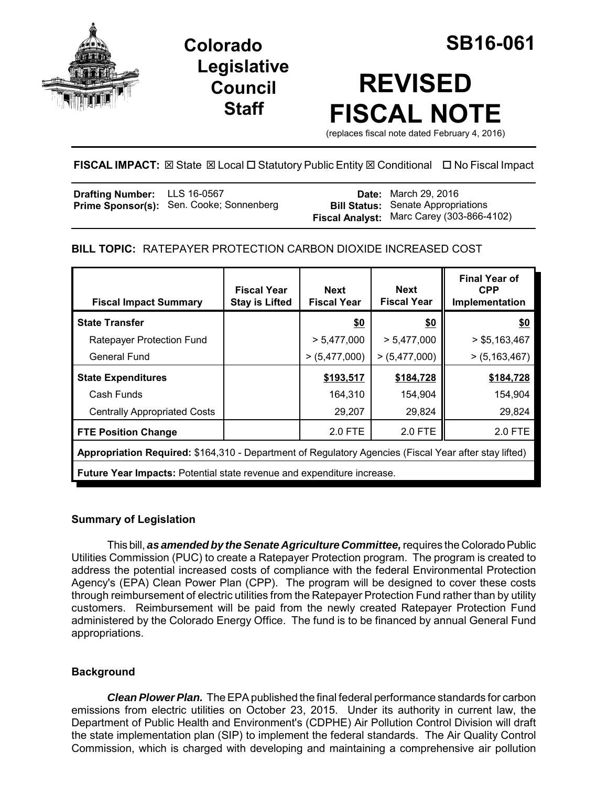

**Colorado SB16-061 Legislative Council Staff**

# **REVISED FISCAL NOTE**

(replaces fiscal note dated February 4, 2016)

# **FISCAL IMPACT:** ⊠ State ⊠ Local □ Statutory Public Entity ⊠ Conditional □ No Fiscal Impact

| <b>Drafting Number:</b> LLS 16-0567 |                                          | <b>Date:</b> March 29, 2016               |
|-------------------------------------|------------------------------------------|-------------------------------------------|
|                                     | Prime Sponsor(s): Sen. Cooke; Sonnenberg | <b>Bill Status:</b> Senate Appropriations |
|                                     |                                          | Fiscal Analyst: Marc Carey (303-866-4102) |

# **BILL TOPIC:** RATEPAYER PROTECTION CARBON DIOXIDE INCREASED COST

| <b>Fiscal Impact Summary</b>                                                                          | <b>Fiscal Year</b><br><b>Stay is Lifted</b> | <b>Next</b><br><b>Fiscal Year</b> | Next<br><b>Fiscal Year</b> | <b>Final Year of</b><br><b>CPP</b><br>Implementation |
|-------------------------------------------------------------------------------------------------------|---------------------------------------------|-----------------------------------|----------------------------|------------------------------------------------------|
| <b>State Transfer</b>                                                                                 |                                             | <u>\$0</u>                        | \$0                        | \$0                                                  |
| Ratepayer Protection Fund                                                                             |                                             | > 5,477,000                       | > 5,477,000                | > \$5,163,467                                        |
| General Fund                                                                                          |                                             | >(5,477,000)                      | >(5,477,000)               | >(5,163,467)                                         |
| <b>State Expenditures</b>                                                                             |                                             | \$193,517                         | \$184,728                  | \$184,728                                            |
| Cash Funds                                                                                            |                                             | 164,310                           | 154,904                    | 154,904                                              |
| <b>Centrally Appropriated Costs</b>                                                                   |                                             | 29,207                            | 29,824                     | 29,824                                               |
| <b>FTE Position Change</b>                                                                            |                                             | 2.0 FTE                           | 2.0 FTE                    | 2.0 FTE                                              |
| Appropriation Required: \$164,310 - Department of Regulatory Agencies (Fiscal Year after stay lifted) |                                             |                                   |                            |                                                      |
| <b>Future Year Impacts: Potential state revenue and expenditure increase.</b>                         |                                             |                                   |                            |                                                      |

## **Summary of Legislation**

This bill, *as amended by the Senate Agriculture Committee,* requires the Colorado Public Utilities Commission (PUC) to create a Ratepayer Protection program. The program is created to address the potential increased costs of compliance with the federal Environmental Protection Agency's (EPA) Clean Power Plan (CPP). The program will be designed to cover these costs through reimbursement of electric utilities from the Ratepayer Protection Fund rather than by utility customers. Reimbursement will be paid from the newly created Ratepayer Protection Fund administered by the Colorado Energy Office. The fund is to be financed by annual General Fund appropriations.

# **Background**

*Clean Plower Plan.* The EPA published the final federal performance standards for carbon emissions from electric utilities on October 23, 2015. Under its authority in current law, the Department of Public Health and Environment's (CDPHE) Air Pollution Control Division will draft the state implementation plan (SIP) to implement the federal standards. The Air Quality Control Commission, which is charged with developing and maintaining a comprehensive air pollution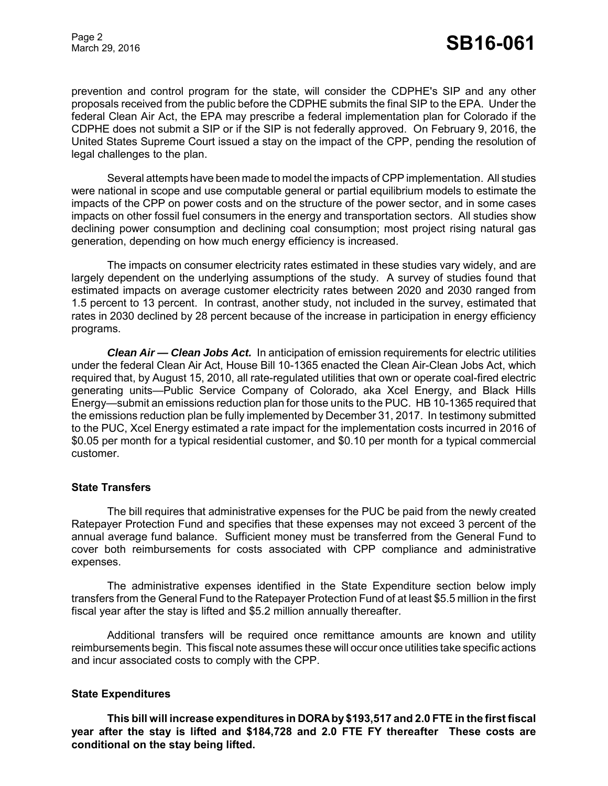prevention and control program for the state, will consider the CDPHE's SIP and any other proposals received from the public before the CDPHE submits the final SIP to the EPA. Under the federal Clean Air Act, the EPA may prescribe a federal implementation plan for Colorado if the CDPHE does not submit a SIP or if the SIP is not federally approved. On February 9, 2016, the United States Supreme Court issued a stay on the impact of the CPP, pending the resolution of legal challenges to the plan.

Several attempts have been made to model the impacts of CPP implementation. All studies were national in scope and use computable general or partial equilibrium models to estimate the impacts of the CPP on power costs and on the structure of the power sector, and in some cases impacts on other fossil fuel consumers in the energy and transportation sectors. All studies show declining power consumption and declining coal consumption; most project rising natural gas generation, depending on how much energy efficiency is increased.

The impacts on consumer electricity rates estimated in these studies vary widely, and are largely dependent on the underlying assumptions of the study. A survey of studies found that estimated impacts on average customer electricity rates between 2020 and 2030 ranged from 1.5 percent to 13 percent. In contrast, another study, not included in the survey, estimated that rates in 2030 declined by 28 percent because of the increase in participation in energy efficiency programs.

*Clean Air — Clean Jobs Act.* In anticipation of emission requirements for electric utilities under the federal Clean Air Act, House Bill 10-1365 enacted the Clean Air-Clean Jobs Act, which required that, by August 15, 2010, all rate-regulated utilities that own or operate coal-fired electric generating units—Public Service Company of Colorado, aka Xcel Energy, and Black Hills Energy—submit an emissions reduction plan for those units to the PUC. HB 10-1365 required that the emissions reduction plan be fully implemented by December 31, 2017. In testimony submitted to the PUC, Xcel Energy estimated a rate impact for the implementation costs incurred in 2016 of \$0.05 per month for a typical residential customer, and \$0.10 per month for a typical commercial customer.

#### **State Transfers**

The bill requires that administrative expenses for the PUC be paid from the newly created Ratepayer Protection Fund and specifies that these expenses may not exceed 3 percent of the annual average fund balance. Sufficient money must be transferred from the General Fund to cover both reimbursements for costs associated with CPP compliance and administrative expenses.

The administrative expenses identified in the State Expenditure section below imply transfers from the General Fund to the Ratepayer Protection Fund of at least \$5.5 million in the first fiscal year after the stay is lifted and \$5.2 million annually thereafter.

Additional transfers will be required once remittance amounts are known and utility reimbursements begin. This fiscal note assumes these will occur once utilities take specific actions and incur associated costs to comply with the CPP.

## **State Expenditures**

**This bill will increase expenditures in DORA by \$193,517 and 2.0 FTE in the first fiscal year after the stay is lifted and \$184,728 and 2.0 FTE FY thereafter These costs are conditional on the stay being lifted.**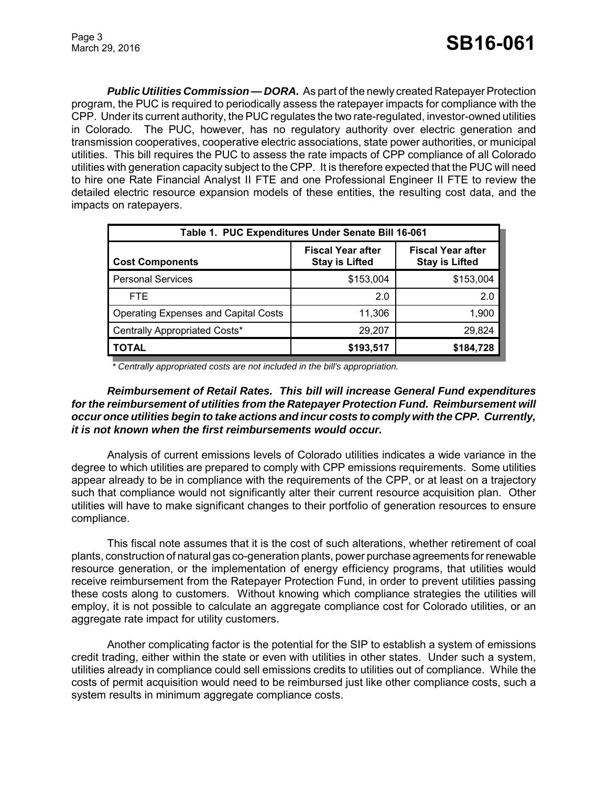*Public Utilities Commission — DORA.* As part of the newly created Ratepayer Protection program, the PUC is required to periodically assess the ratepayer impacts for compliance with the CPP. Under its current authority, the PUC regulates the two rate-regulated, investor-owned utilities in Colorado. The PUC, however, has no regulatory authority over electric generation and transmission cooperatives, cooperative electric associations, state power authorities, or municipal utilities. This bill requires the PUC to assess the rate impacts of CPP compliance of all Colorado utilities with generation capacity subject to the CPP. It is therefore expected that the PUC will need to hire one Rate Financial Analyst II FTE and one Professional Engineer II FTE to review the detailed electric resource expansion models of these entities, the resulting cost data, and the impacts on ratepayers.

| Table 1. PUC Expenditures Under Senate Bill 16-061 |                                                   |                                                   |  |  |
|----------------------------------------------------|---------------------------------------------------|---------------------------------------------------|--|--|
| <b>Cost Components</b>                             | <b>Fiscal Year after</b><br><b>Stay is Lifted</b> | <b>Fiscal Year after</b><br><b>Stay is Lifted</b> |  |  |
| <b>Personal Services</b>                           | \$153,004                                         | \$153,004                                         |  |  |
| FTE.                                               | 2.0                                               | 2.0                                               |  |  |
| <b>Operating Expenses and Capital Costs</b>        | 11,306                                            | 1,900                                             |  |  |
| Centrally Appropriated Costs*                      | 29,207                                            | 29,824                                            |  |  |
| <b>TOTAL</b>                                       | \$193,517                                         | \$184,728                                         |  |  |

 *\* Centrally appropriated costs are not included in the bill's appropriation.*

## *Reimbursement of Retail Rates. This bill will increase General Fund expenditures for the reimbursement of utilities from the Ratepayer Protection Fund. Reimbursement will occur once utilities begin to take actions and incur costs to comply with the CPP. Currently, it is not known when the first reimbursements would occur.*

Analysis of current emissions levels of Colorado utilities indicates a wide variance in the degree to which utilities are prepared to comply with CPP emissions requirements. Some utilities appear already to be in compliance with the requirements of the CPP, or at least on a trajectory such that compliance would not significantly alter their current resource acquisition plan. Other utilities will have to make significant changes to their portfolio of generation resources to ensure compliance.

This fiscal note assumes that it is the cost of such alterations, whether retirement of coal plants, construction of natural gas co-generation plants, power purchase agreements for renewable resource generation, or the implementation of energy efficiency programs, that utilities would receive reimbursement from the Ratepayer Protection Fund, in order to prevent utilities passing these costs along to customers. Without knowing which compliance strategies the utilities will employ, it is not possible to calculate an aggregate compliance cost for Colorado utilities, or an aggregate rate impact for utility customers.

Another complicating factor is the potential for the SIP to establish a system of emissions credit trading, either within the state or even with utilities in other states. Under such a system, utilities already in compliance could sell emissions credits to utilities out of compliance. While the costs of permit acquisition would need to be reimbursed just like other compliance costs, such a system results in minimum aggregate compliance costs.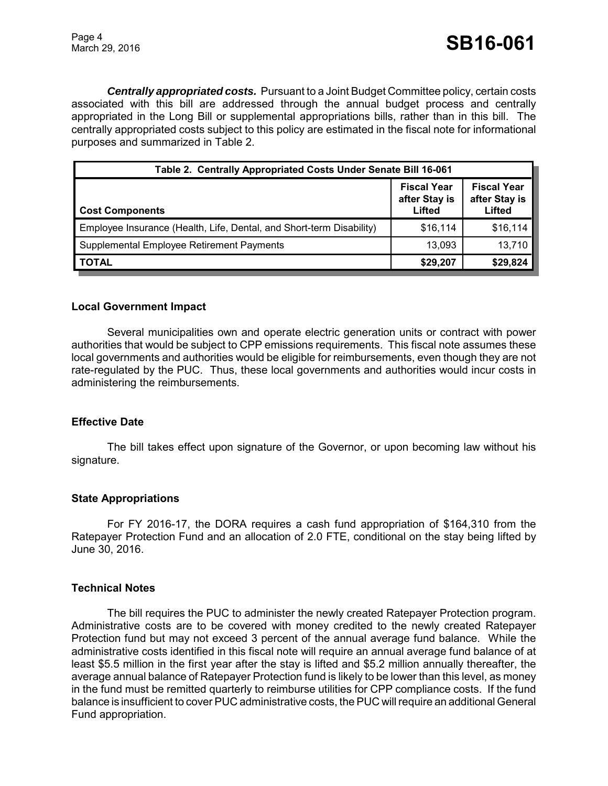*Centrally appropriated costs.* Pursuant to a Joint Budget Committee policy, certain costs associated with this bill are addressed through the annual budget process and centrally appropriated in the Long Bill or supplemental appropriations bills, rather than in this bill. The centrally appropriated costs subject to this policy are estimated in the fiscal note for informational purposes and summarized in Table 2.

| Table 2. Centrally Appropriated Costs Under Senate Bill 16-061       |                                               |                                               |  |
|----------------------------------------------------------------------|-----------------------------------------------|-----------------------------------------------|--|
| <b>Cost Components</b>                                               | <b>Fiscal Year</b><br>after Stay is<br>Lifted | <b>Fiscal Year</b><br>after Stay is<br>Lifted |  |
| Employee Insurance (Health, Life, Dental, and Short-term Disability) | \$16,114                                      | \$16,114                                      |  |
| Supplemental Employee Retirement Payments                            | 13,093                                        | 13,710                                        |  |
| <b>TOTAL</b>                                                         | \$29,207                                      | \$29,824                                      |  |

### **Local Government Impact**

Several municipalities own and operate electric generation units or contract with power authorities that would be subject to CPP emissions requirements. This fiscal note assumes these local governments and authorities would be eligible for reimbursements, even though they are not rate-regulated by the PUC. Thus, these local governments and authorities would incur costs in administering the reimbursements.

#### **Effective Date**

The bill takes effect upon signature of the Governor, or upon becoming law without his signature.

#### **State Appropriations**

For FY 2016-17, the DORA requires a cash fund appropriation of \$164,310 from the Ratepayer Protection Fund and an allocation of 2.0 FTE, conditional on the stay being lifted by June 30, 2016.

#### **Technical Notes**

The bill requires the PUC to administer the newly created Ratepayer Protection program. Administrative costs are to be covered with money credited to the newly created Ratepayer Protection fund but may not exceed 3 percent of the annual average fund balance. While the administrative costs identified in this fiscal note will require an annual average fund balance of at least \$5.5 million in the first year after the stay is lifted and \$5.2 million annually thereafter, the average annual balance of Ratepayer Protection fund is likely to be lower than this level, as money in the fund must be remitted quarterly to reimburse utilities for CPP compliance costs. If the fund balance is insufficient to cover PUC administrative costs, the PUC will require an additional General Fund appropriation.